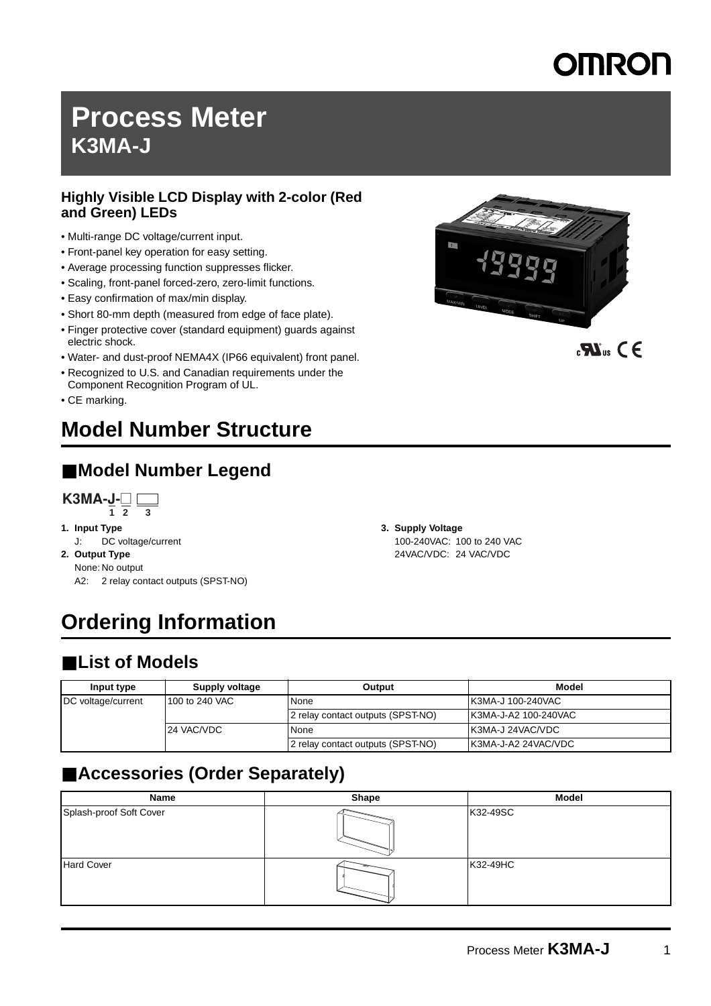# **DERON**

# **Process Meter K3MA-J**

### **Highly Visible LCD Display with 2-color (Red and Green) LEDs**

- Multi-range DC voltage/current input.
- Front-panel key operation for easy setting.
- Average processing function suppresses flicker.
- Scaling, front-panel forced-zero, zero-limit functions.
- Easy confirmation of max/min display.
- Short 80-mm depth (measured from edge of face plate).
- Finger protective cover (standard equipment) guards against electric shock.
- Water- and dust-proof NEMA4X (IP66 equivalent) front panel.
- Recognized to U.S. and Canadian requirements under the Component Recognition Program of UL.
- CE marking.

# **Model Number Structure**

## ■ **Model Number Legend**



- **1. Input Type**
- J: DC voltage/current
- **2. Output Type** None: No output A2: 2 relay contact outputs (SPST-NO)
- **Ordering Information**

## ■ List of Models

| Input type         | Supply voltage | Output                            | Model                    |
|--------------------|----------------|-----------------------------------|--------------------------|
| DC voltage/current | 100 to 240 VAC | None                              | <b>K3MA-J 100-240VAC</b> |
|                    |                | 2 relay contact outputs (SPST-NO) | K3MA-J-A2 100-240VAC     |
|                    | 24 VAC/VDC     | None                              | <b>IK3MA-J 24VAC/VDC</b> |
|                    |                | 2 relay contact outputs (SPST-NO) | IK3MA-J-A2 24VAC/VDC     |

## ■ **Accessories (Order Separately)**

| Name                    | Shape | <b>Model</b> |
|-------------------------|-------|--------------|
| Splash-proof Soft Cover |       | K32-49SC     |
| <b>Hard Cover</b>       |       | K32-49HC     |



 $\mathbf{R}^{\text{us}}$  CE

**3. Supply Voltage** 100-240VAC: 100 to 240 VAC 24VAC/VDC: 24 VAC/VDC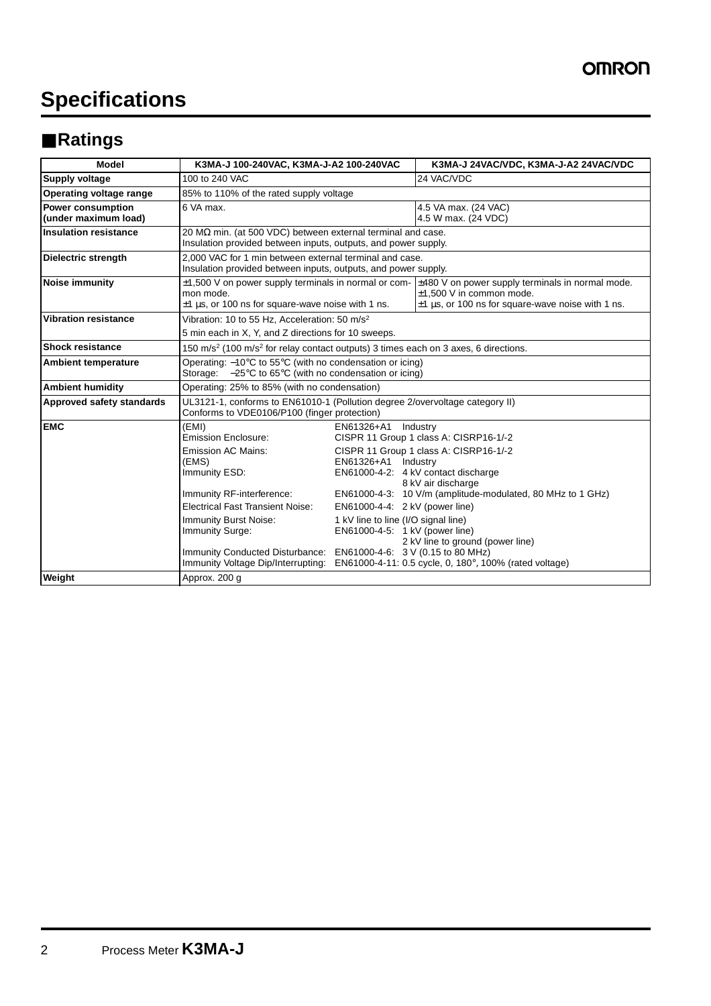# **Specifications**

## ■ **Ratings**

| <b>Model</b>                                     | K3MA-J 100-240VAC, K3MA-J-A2 100-240VAC                                                                                                                                                                                                                                                                                          |                                                                                                                                                       | K3MA-J 24VAC/VDC, K3MA-J-A2 24VAC/VDC                                                                                                                                                                                                                                                                     |  |  |  |
|--------------------------------------------------|----------------------------------------------------------------------------------------------------------------------------------------------------------------------------------------------------------------------------------------------------------------------------------------------------------------------------------|-------------------------------------------------------------------------------------------------------------------------------------------------------|-----------------------------------------------------------------------------------------------------------------------------------------------------------------------------------------------------------------------------------------------------------------------------------------------------------|--|--|--|
| Supply voltage                                   | 100 to 240 VAC                                                                                                                                                                                                                                                                                                                   |                                                                                                                                                       | 24 VAC/VDC                                                                                                                                                                                                                                                                                                |  |  |  |
| Operating voltage range                          | 85% to 110% of the rated supply voltage                                                                                                                                                                                                                                                                                          |                                                                                                                                                       |                                                                                                                                                                                                                                                                                                           |  |  |  |
| <b>Power consumption</b><br>(under maximum load) | 6 VA max.                                                                                                                                                                                                                                                                                                                        |                                                                                                                                                       | 4.5 VA max. (24 VAC)<br>4.5 W max. (24 VDC)                                                                                                                                                                                                                                                               |  |  |  |
| <b>Insulation resistance</b>                     | 20 M $\Omega$ min. (at 500 VDC) between external terminal and case.<br>Insulation provided between inputs, outputs, and power supply.                                                                                                                                                                                            |                                                                                                                                                       |                                                                                                                                                                                                                                                                                                           |  |  |  |
| <b>Dielectric strength</b>                       | 2.000 VAC for 1 min between external terminal and case.<br>Insulation provided between inputs, outputs, and power supply.                                                                                                                                                                                                        |                                                                                                                                                       |                                                                                                                                                                                                                                                                                                           |  |  |  |
| <b>Noise immunity</b>                            | $\pm$ 1,500 V on power supply terminals in normal or com- $\pm$ 480 V on power supply terminals in normal mode.<br>mon mode.<br>$\pm$ 1 µs, or 100 ns for square-wave noise with 1 ns.                                                                                                                                           |                                                                                                                                                       | $±1.500$ V in common mode.<br>$\pm$ 1 µs, or 100 ns for square-wave noise with 1 ns.                                                                                                                                                                                                                      |  |  |  |
| <b>Vibration resistance</b>                      | Vibration: 10 to 55 Hz. Acceleration: 50 m/s <sup>2</sup><br>5 min each in X, Y, and Z directions for 10 sweeps.                                                                                                                                                                                                                 |                                                                                                                                                       |                                                                                                                                                                                                                                                                                                           |  |  |  |
| <b>Shock resistance</b>                          | 150 m/s <sup>2</sup> (100 m/s <sup>2</sup> for relay contact outputs) 3 times each on 3 axes, 6 directions.                                                                                                                                                                                                                      |                                                                                                                                                       |                                                                                                                                                                                                                                                                                                           |  |  |  |
| <b>Ambient temperature</b>                       | Operating: $-10^{\circ}$ C to 55 $^{\circ}$ C (with no condensation or icing)<br>Storage: $-25^{\circ}$ C to 65°C (with no condensation or icing)                                                                                                                                                                                |                                                                                                                                                       |                                                                                                                                                                                                                                                                                                           |  |  |  |
| <b>Ambient humidity</b>                          | Operating: 25% to 85% (with no condensation)                                                                                                                                                                                                                                                                                     |                                                                                                                                                       |                                                                                                                                                                                                                                                                                                           |  |  |  |
| Approved safety standards                        | UL3121-1, conforms to EN61010-1 (Pollution degree 2/overvoltage category II)<br>Conforms to VDE0106/P100 (finger protection)                                                                                                                                                                                                     |                                                                                                                                                       |                                                                                                                                                                                                                                                                                                           |  |  |  |
| <b>EMC</b>                                       | (EMI)<br><b>Emission Enclosure:</b><br><b>Emission AC Mains:</b><br>(EMS)<br>Immunity ESD:<br>Immunity RF-interference:<br><b>Electrical Fast Transient Noise:</b><br><b>Immunity Burst Noise:</b><br>Immunity Surge:<br>Immunity Conducted Disturbance: EN61000-4-6: 3 V (0.15 to 80 MHz)<br>Immunity Voltage Dip/Interrupting: | EN61326+A1 Industry<br>EN61326+A1 Industry<br>EN61000-4-4: 2 kV (power line)<br>1 kV line to line (I/O signal line)<br>EN61000-4-5: 1 kV (power line) | CISPR 11 Group 1 class A: CISRP16-1/-2<br>CISPR 11 Group 1 class A: CISRP16-1/-2<br>EN61000-4-2: 4 kV contact discharge<br>8 kV air discharge<br>EN61000-4-3: 10 V/m (amplitude-modulated, 80 MHz to 1 GHz)<br>2 kV line to ground (power line)<br>EN61000-4-11: 0.5 cycle, 0, 180°, 100% (rated voltage) |  |  |  |
| Weight                                           | Approx. 200 q                                                                                                                                                                                                                                                                                                                    |                                                                                                                                                       |                                                                                                                                                                                                                                                                                                           |  |  |  |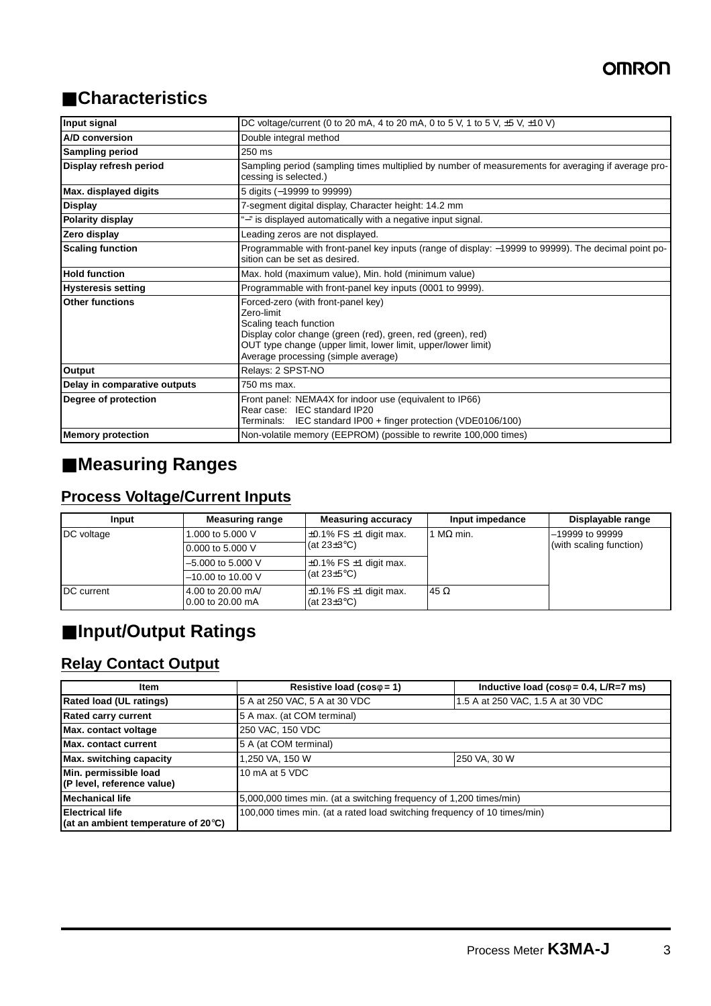## ■ **Characteristics**

| Input signal                 | DC voltage/current (0 to 20 mA, 4 to 20 mA, 0 to 5 V, 1 to 5 V, $\pm$ 5 V, $\pm$ 10 V)                                                                                                                                                            |  |  |  |
|------------------------------|---------------------------------------------------------------------------------------------------------------------------------------------------------------------------------------------------------------------------------------------------|--|--|--|
| A/D conversion               | Double integral method                                                                                                                                                                                                                            |  |  |  |
| <b>Sampling period</b>       | 250 ms                                                                                                                                                                                                                                            |  |  |  |
| Display refresh period       | Sampling period (sampling times multiplied by number of measurements for averaging if average pro-<br>cessing is selected.)                                                                                                                       |  |  |  |
| Max. displayed digits        | 5 digits (-19999 to 99999)                                                                                                                                                                                                                        |  |  |  |
| <b>Display</b>               | 7-segment digital display, Character height: 14.2 mm                                                                                                                                                                                              |  |  |  |
| Polarity display             | "-" is displayed automatically with a negative input signal.                                                                                                                                                                                      |  |  |  |
| Zero display                 | Leading zeros are not displayed.                                                                                                                                                                                                                  |  |  |  |
| <b>Scaling function</b>      | Programmable with front-panel key inputs (range of display: -19999 to 99999). The decimal point po-<br>sition can be set as desired.                                                                                                              |  |  |  |
| <b>Hold function</b>         | Max. hold (maximum value), Min. hold (minimum value)                                                                                                                                                                                              |  |  |  |
| <b>Hysteresis setting</b>    | Programmable with front-panel key inputs (0001 to 9999).                                                                                                                                                                                          |  |  |  |
| <b>Other functions</b>       | Forced-zero (with front-panel key)<br>Zero-limit<br>Scaling teach function<br>Display color change (green (red), green, red (green), red)<br>OUT type change (upper limit, lower limit, upper/lower limit)<br>Average processing (simple average) |  |  |  |
| Output                       | Relays: 2 SPST-NO                                                                                                                                                                                                                                 |  |  |  |
| Delay in comparative outputs | 750 ms max.                                                                                                                                                                                                                                       |  |  |  |
| Degree of protection         | Front panel: NEMA4X for indoor use (equivalent to IP66)<br>Rear case: IEC standard IP20<br>Terminals: IEC standard IP00 + finger protection (VDE0106/100)                                                                                         |  |  |  |
| <b>Memory protection</b>     | Non-volatile memory (EEPROM) (possible to rewrite 100,000 times)                                                                                                                                                                                  |  |  |  |

## ■ **Measuring Ranges**

## **Process Voltage/Current Inputs**

| Input      | <b>Measuring range</b>                | <b>Measuring accuracy</b>                             | Input impedance | Displayable range       |
|------------|---------------------------------------|-------------------------------------------------------|-----------------|-------------------------|
| DC voltage | 1.000 to 5.000 V                      | $\pm 0.1\%$ FS $\pm 1$ digit max.                     | $M\Omega$ min.  | $-19999$ to 99999       |
|            | 0.000 to 5.000 V                      | $ $ (at 23 $\pm$ 3°C)                                 |                 | (with scaling function) |
|            | $-5.000$ to 5.000 V                   | $\pm 0.1\%$ FS $\pm 1$ digit max.                     |                 |                         |
|            | $-10.00$ to 10.00 V                   | $\vert$ (at 23 $\pm$ 5°C)                             |                 |                         |
| DC current | 4.00 to 20.00 mA/<br>0.00 to 20.00 mA | $\pm 0.1\%$ FS $\pm 1$ digit max.<br>(at $23\pm3$ °C) | 45 $\Omega$     |                         |

## ■ **Input/Output Ratings**

### **Relay Contact Output**

| Item                                                                    | Resistive load ( $cos\phi = 1$ )                                         | Inductive load ( $cos\phi = 0.4$ , L/R=7 ms) |  |  |
|-------------------------------------------------------------------------|--------------------------------------------------------------------------|----------------------------------------------|--|--|
| <b>Rated load (UL ratings)</b>                                          | 5 A at 250 VAC, 5 A at 30 VDC                                            | 1.5 A at 250 VAC, 1.5 A at 30 VDC            |  |  |
| <b>Rated carry current</b>                                              | 5 A max. (at COM terminal)                                               |                                              |  |  |
| Max. contact voltage                                                    | 250 VAC, 150 VDC                                                         |                                              |  |  |
| Max. contact current                                                    | 5 A (at COM terminal)                                                    |                                              |  |  |
| <b>Max.</b> switching capacity                                          | 250 VA, 30 W<br>1,250 VA, 150 W                                          |                                              |  |  |
| Min. permissible load<br>(P level, reference value)                     | 10 mA at 5 VDC                                                           |                                              |  |  |
| Mechanical life                                                         | 5,000,000 times min. (at a switching frequency of 1,200 times/min)       |                                              |  |  |
| <b>Electrical life</b><br>(at an ambient temperature of 20 $\degree$ C) | 100,000 times min. (at a rated load switching frequency of 10 times/min) |                                              |  |  |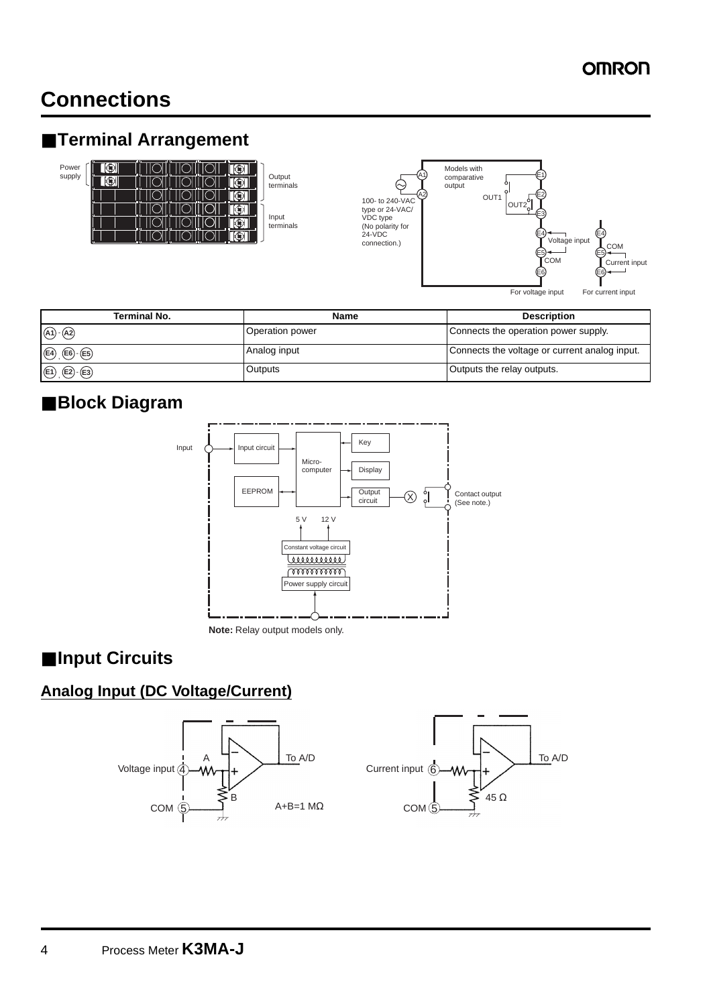## **Connections**

## ■ **Terminal Arrangement**





| <b>Terminal No.</b>                   | Name            | <b>Description</b>                            |  |
|---------------------------------------|-----------------|-----------------------------------------------|--|
| $(A1)$ - $(A2)$                       | Operation power | Connects the operation power supply.          |  |
| $E4(E6)$ $E5$                         | Analog input    | Connects the voltage or current analog input. |  |
| $\bigoplus$ , $\bigoplus$ $\bigoplus$ | Outputs         | Outputs the relay outputs.                    |  |

## ■ **Block Diagram**



**Note:** Relay output models only.

## ■ **Input Circuits**

### **Analog Input (DC Voltage/Current)**



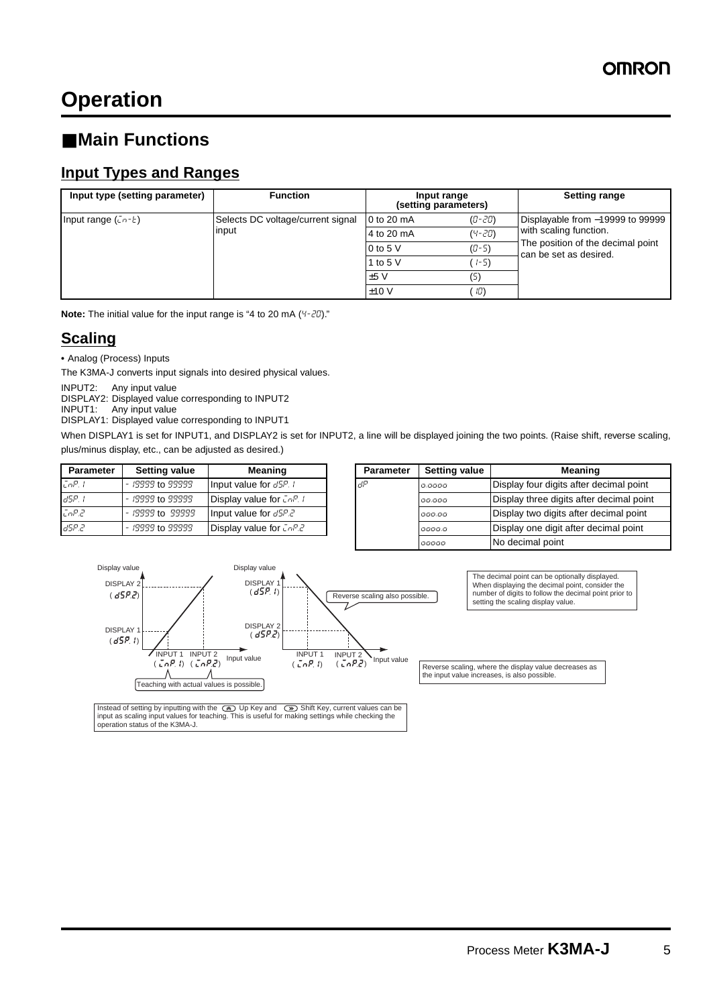## ■ Main Functions

### **Input Types and Ranges**

| Input type (setting parameter)     | <b>Function</b>                   | Input range<br>(setting parameters) |            | <b>Setting range</b>                                        |
|------------------------------------|-----------------------------------|-------------------------------------|------------|-------------------------------------------------------------|
| Input range $(\bar{u}r - \bar{v})$ | Selects DC voltage/current signal | 0 to 20 mA                          | $(D - 2D)$ | Displayable from -19999 to 99999                            |
|                                    | input                             | 4 to 20 mA                          | $(4 - 20)$ | with scaling function.                                      |
|                                    |                                   | 0 to 5 $V$                          | $(D-5)$    | The position of the decimal point<br>can be set as desired. |
|                                    |                                   | 1 to 5 $V$                          | $1 - 5$    |                                                             |
|                                    |                                   | $+5V$                               | (5)        |                                                             |
|                                    |                                   | ±10V                                | 10)        |                                                             |

**Note:** The initial value for the input range is "4 to 20 mA (4-20)."

### **Scaling**

**•** Analog (Process) Inputs

The K3MA-J converts input signals into desired physical values.

INPUT2: Any input value

DISPLAY2: Displayed value corresponding to INPUT2

INPUT1: Any input value DISPLAY1: Displayed value corresponding to INPUT1

When DISPLAY1 is set for INPUT1, and DISPLAY2 is set for INPUT2, a line will be displayed joining the two points. (Raise shift, reverse scaling, plus/minus display, etc., can be adjusted as desired.)

| <b>Parameter</b> | <b>Setting value</b> | <b>Meaning</b>                   | <b>Parameter</b> | <b>Setting value</b> | Meaning                      |
|------------------|----------------------|----------------------------------|------------------|----------------------|------------------------------|
| EnP. I           | - 19999 to 99999     | Input value for dSP. I           | ∎dP              | 0.0000               | Display four digits after de |
| id5P. I          | - 19999 to 99999     | Display value for $\sqrt{L}nP$ . |                  | 00.000               | Display three digits after   |
| EnP.2            | - 19999 to 99999     | Input value for $dSP.2$          |                  | 000.00               | Display two digits after de  |
| 185P.2           | - 19999 to 99999     | Display value for $\sqrt{L}$     |                  | 0000.0               | Display one digit after dee  |

| <b>Parameter</b> | <b>Setting value</b> | Meaning                          | <b>Parameter</b> | <b>Setting value</b> | Meaning                                  |
|------------------|----------------------|----------------------------------|------------------|----------------------|------------------------------------------|
| EnP. I           | $-19999$ to 99999    | Input value for dSP. I           | 1dP              | 0.0000               | Display four digits after decimal point  |
| dSP. I           | - 19999 to 99999     | Display value for $\sqrt{L}$ , l |                  | 00.000               | Display three digits after decimal point |
| CoP.2            | - 19999 to 99999     | Input value for d5P.2            |                  | 000.00               | Display two digits after decimal point   |
| 89.2             | - 19999 to 99999     | Display value for $\sqrt{L}$     |                  | 0000.0               | Display one digit after decimal point    |
|                  |                      |                                  |                  | 00000                | No decimal point                         |



Instead of setting by inputting with the  $\textcircled{a}$  Up Key and  $\textcircled{b}$  Shift Key, current values can be input as vertion of the CAD Up Key and  $\textcircled{b}$  Shift Key, current values can be operation status of the K3MA-J.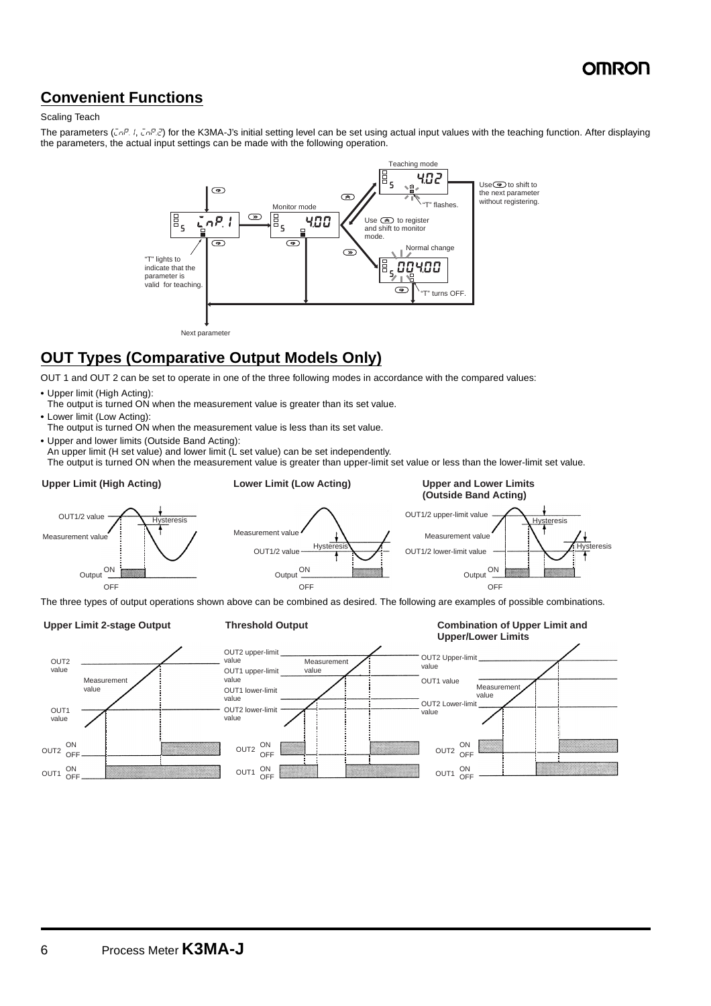### **Convenient Functions**

### Scaling Teach

The parameters ( $\zeta_n$ P,  $l$ ,  $\zeta_n$ P, $\zeta$ ) for the K3MA-J's initial setting level can be set using actual input values with the teaching function. After displaying the parameters, the actual input settings can be made with the following operation.



### **OUT Types (Comparative Output Models Only)**

OUT 1 and OUT 2 can be set to operate in one of the three following modes in accordance with the compared values:

- **•** Upper limit (High Acting):
- The output is turned ON when the measurement value is greater than its set value.
- **•** Lower limit (Low Acting):
- The output is turned ON when the measurement value is less than its set value.
- **•** Upper and lower limits (Outside Band Acting):
- An upper limit (H set value) and lower limit (L set value) can be set independently.

The output is turned ON when the measurement value is greater than upper-limit set value or less than the lower-limit set value.



The three types of output operations shown above can be combined as desired. The following are examples of possible combinations.

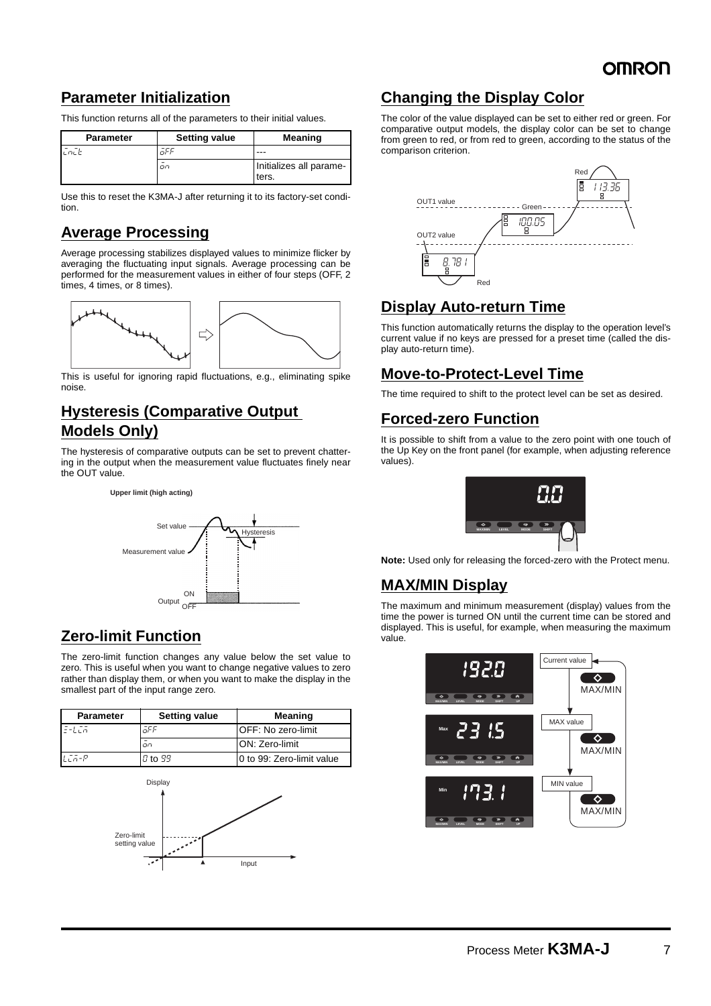### **Parameter Initialization**

This function returns all of the parameters to their initial values.

| <b>Parameter</b> | <b>Setting value</b> | <b>Meaning</b>          |
|------------------|----------------------|-------------------------|
| ヒロビビ             | or                   | ---                     |
|                  | oo                   | Initializes all parame- |
|                  |                      | ters.                   |

Use this to reset the K3MA-J after returning it to its factory-set condition.

### **Average Processing**

Average processing stabilizes displayed values to minimize flicker by averaging the fluctuating input signals. Average processing can be performed for the measurement values in either of four steps (OFF, 2 times, 4 times, or 8 times).



This is useful for ignoring rapid fluctuations, e.g., eliminating spike noise.

### **Hysteresis (Comparative Output Models Only)**

The hysteresis of comparative outputs can be set to prevent chattering in the output when the measurement value fluctuates finely near the OUT value.





### **Zero-limit Function**

The zero-limit function changes any value below the set value to zero. This is useful when you want to change negative values to zero rather than display them, or when you want to make the display in the smallest part of the input range zero.

| <b>Parameter</b> | <b>Setting value</b> | Meaning                    |
|------------------|----------------------|----------------------------|
| $E-LER$          | āFF                  | <b>IOFF: No zero-limit</b> |
|                  | on.                  | <b>ON: Zero-limit</b>      |
| $LT - P$         | $0$ to $99$          | 10 to 99: Zero-limit value |



### **Changing the Display Color**

The color of the value displayed can be set to either red or green. For comparative output models, the display color can be set to change from green to red, or from red to green, according to the status of the comparison criterion.



### **Display Auto-return Time**

This function automatically returns the display to the operation level's current value if no keys are pressed for a preset time (called the display auto-return time).

### **Move-to-Protect-Level Time**

The time required to shift to the protect level can be set as desired.

### **Forced-zero Function**

It is possible to shift from a value to the zero point with one touch of the Up Key on the front panel (for example, when adjusting reference values).



**Note:** Used only for releasing the forced-zero with the Protect menu.

### **MAX/MIN Display**

The maximum and minimum measurement (display) values from the time the power is turned ON until the current time can be stored and displayed. This is useful, for example, when measuring the maximum value.

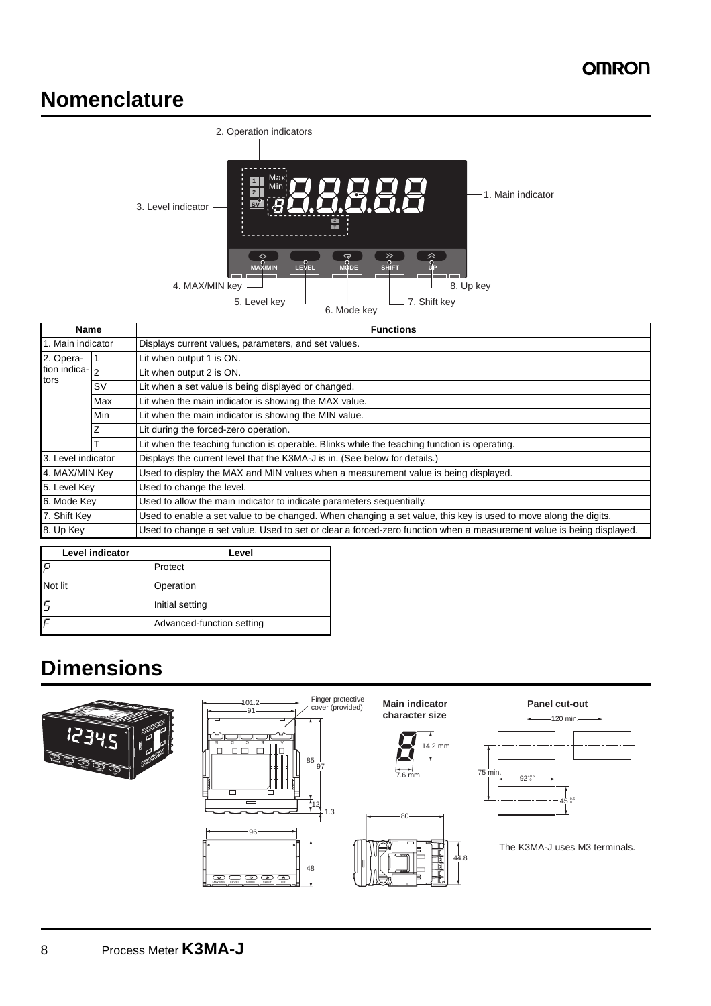## **Nomenclature**



| Name<br>1. Main indicator |           | <b>Functions</b><br>Displays current values, parameters, and set values.                                             |  |  |  |
|---------------------------|-----------|----------------------------------------------------------------------------------------------------------------------|--|--|--|
|                           |           |                                                                                                                      |  |  |  |
| tion indica- $\boxed{2}$  |           | Lit when output 2 is ON.                                                                                             |  |  |  |
| tors                      | <b>SV</b> | Lit when a set value is being displayed or changed.                                                                  |  |  |  |
|                           | Max       | Lit when the main indicator is showing the MAX value.                                                                |  |  |  |
|                           | Min       | Lit when the main indicator is showing the MIN value.                                                                |  |  |  |
|                           |           | Lit during the forced-zero operation.                                                                                |  |  |  |
|                           |           | Lit when the teaching function is operable. Blinks while the teaching function is operating.                         |  |  |  |
| 3. Level indicator        |           | Displays the current level that the K3MA-J is in. (See below for details.)                                           |  |  |  |
| 4. MAX/MIN Key            |           | Used to display the MAX and MIN values when a measurement value is being displayed.                                  |  |  |  |
| 5. Level Key              |           | Used to change the level.                                                                                            |  |  |  |
| 6. Mode Key               |           | Used to allow the main indicator to indicate parameters sequentially.                                                |  |  |  |
| 7. Shift Key              |           | Used to enable a set value to be changed. When changing a set value, this key is used to move along the digits.      |  |  |  |
| 8. Up Key                 |           | Used to change a set value. Used to set or clear a forced-zero function when a measurement value is being displayed. |  |  |  |

| <b>Level indicator</b> | Level                     |
|------------------------|---------------------------|
| $\Box$                 | Protect                   |
| Not lit                | Operation                 |
|                        | Initial setting           |
|                        | Advanced-function setting |

# **Dimensions**



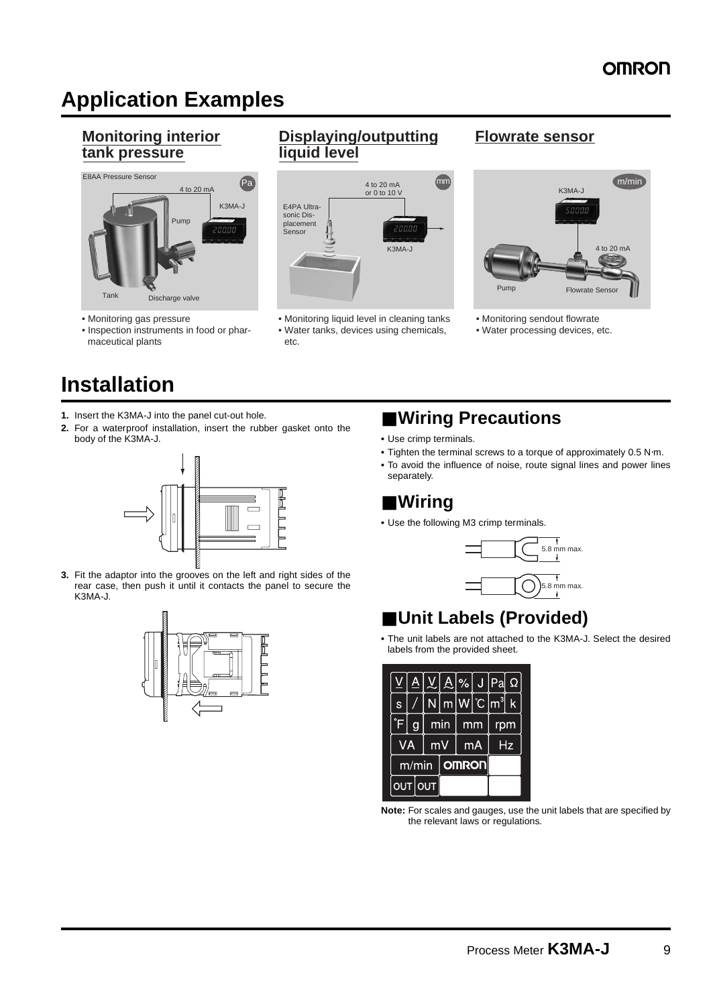## **Application Examples**

### **Monitoring interior tank pressure**



- Monitoring gas pressure
- Inspection instruments in food or pharmaceutical plants

## **Installation**

- **1.** Insert the K3MA-J into the panel cut-out hole.
- **2.** For a waterproof installation, insert the rubber gasket onto the body of the K3MA-J.



**3.** Fit the adaptor into the grooves on the left and right sides of the rear case, then push it until it contacts the panel to secure the K3MA-J.



### **Displaying/outputting Flowrate sensor liquid level**



• Monitoring liquid level in cleaning tanks • Monitoring sendout flowrate • Water tanks, devices using chemicals, • Water processing devices, etc. etc.



- 
- 

## ■ Wiring Precautions

- **•** Use crimp terminals.
- **•** Tighten the terminal screws to a torque of approximately 0.5 N⋅m.
- **•** To avoid the influence of noise, route signal lines and power lines separately.

## ■ **Wiring**

**•** Use the following M3 crimp terminals.



## ■ **Unit Labels (Provided)**

**•** The unit labels are not attached to the K3MA-J. Select the desired labels from the provided sheet.

|                 | A, | V.I |     |              |    | $\mathbf{A}$  %   J   Pa                                                                                                                   | Ω |
|-----------------|----|-----|-----|--------------|----|--------------------------------------------------------------------------------------------------------------------------------------------|---|
| $\mathbb S$     |    |     |     |              |    | $\overline{\mathsf{m}}\hspace{0.02cm} \mathsf{W} ^{\circ}\hspace{0.02cm}\mathbb{C}\hspace{0.02cm} \mathsf{m}^{\mathsf{3}}\hspace{0.02cm} $ | k |
| $\blacklozenge$ |    |     | min |              | mm | rpm                                                                                                                                        |   |
| VA              |    | mV  |     | mA           |    | Hz                                                                                                                                         |   |
| m/min           |    |     |     | <b>OMRON</b> |    |                                                                                                                                            |   |
| OUT OUT         |    |     |     |              |    |                                                                                                                                            |   |

**Note:** For scales and gauges, use the unit labels that are specified by the relevant laws or regulations.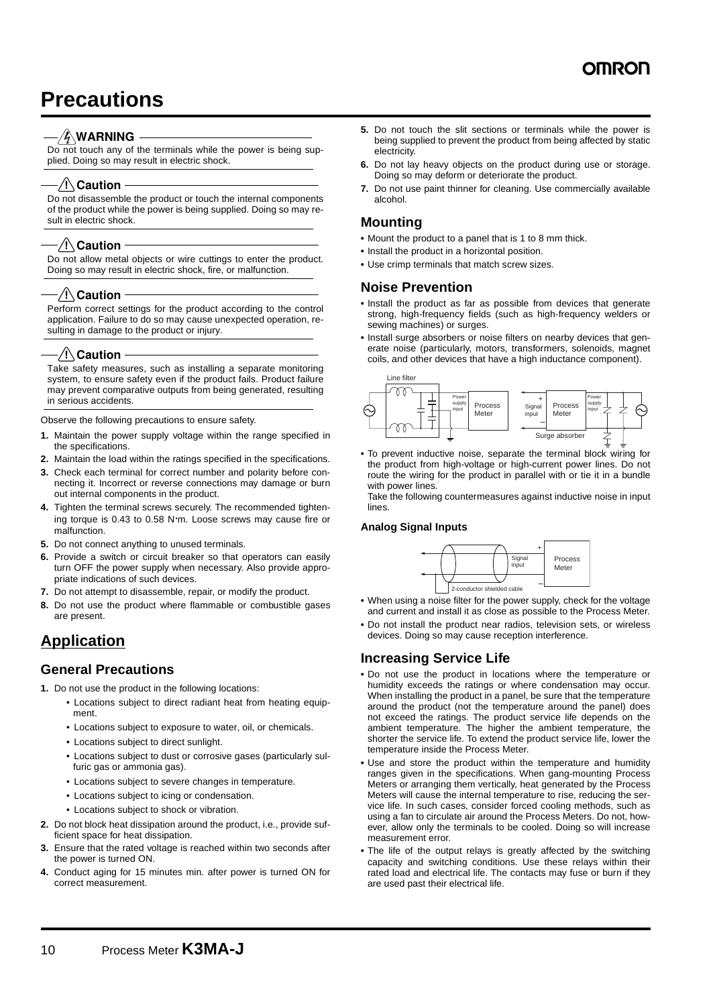## **Precautions**

### $\mathscr{G}\backslash\mathsf{WARMING}$

Do not touch any of the terminals while the power is being supplied. Doing so may result in electric shock.

### ⁄ !∖ Caution

Do not disassemble the product or touch the internal components of the product while the power is being supplied. Doing so may result in electric shock.

### $/$ ! $\setminus$ Caution

Do not allow metal objects or wire cuttings to enter the product. Doing so may result in electric shock, fire, or malfunction.

### ⁄ !∖ Caution

Perform correct settings for the product according to the control application. Failure to do so may cause unexpected operation, resulting in damage to the product or injury.

### $\sqrt{2}$  Caution

Take safety measures, such as installing a separate monitoring system, to ensure safety even if the product fails. Product failure may prevent comparative outputs from being generated, resulting in serious accidents.

Observe the following precautions to ensure safety.

- **1.** Maintain the power supply voltage within the range specified in the specifications.
- **2.** Maintain the load within the ratings specified in the specifications.
- **3.** Check each terminal for correct number and polarity before connecting it. Incorrect or reverse connections may damage or burn out internal components in the product.
- **4.** Tighten the terminal screws securely. The recommended tightening torque is 0.43 to 0.58 N⋅m. Loose screws may cause fire or malfunction.
- **5.** Do not connect anything to unused terminals.
- **6.** Provide a switch or circuit breaker so that operators can easily turn OFF the power supply when necessary. Also provide appropriate indications of such devices.
- **7.** Do not attempt to disassemble, repair, or modify the product.
- **8.** Do not use the product where flammable or combustible gases are present.

### **Application**

### **General Precautions**

**1.** Do not use the product in the following locations:

- Locations subject to direct radiant heat from heating equipment.
- Locations subject to exposure to water, oil, or chemicals.
- Locations subject to direct sunlight.
- Locations subject to dust or corrosive gases (particularly sulfuric gas or ammonia gas).
- Locations subject to severe changes in temperature.
- Locations subject to icing or condensation.
- Locations subject to shock or vibration.
- **2.** Do not block heat dissipation around the product, i.e., provide sufficient space for heat dissipation.
- **3.** Ensure that the rated voltage is reached within two seconds after the power is turned ON.
- **4.** Conduct aging for 15 minutes min. after power is turned ON for correct measurement.
- **5.** Do not touch the slit sections or terminals while the power is being supplied to prevent the product from being affected by static electricity.
- **6.** Do not lay heavy objects on the product during use or storage. Doing so may deform or deteriorate the product.
- **7.** Do not use paint thinner for cleaning. Use commercially available alcohol.

### **Mounting**

- **•** Mount the product to a panel that is 1 to 8 mm thick.
- **•** Install the product in a horizontal position.
- **•** Use crimp terminals that match screw sizes.

### **Noise Prevention**

- **•** Install the product as far as possible from devices that generate strong, high-frequency fields (such as high-frequency welders or sewing machines) or surges.
- **•** Install surge absorbers or noise filters on nearby devices that generate noise (particularly, motors, transformers, solenoids, magnet coils, and other devices that have a high inductance component).



**•** To prevent inductive noise, separate the terminal block wiring for the product from high-voltage or high-current power lines. Do not route the wiring for the product in parallel with or tie it in a bundle with power lines.

Take the following countermeasures against inductive noise in input lines.

### **Analog Signal Inputs**



- **•** When using a noise filter for the power supply, check for the voltage and current and install it as close as possible to the Process Meter.
- **•** Do not install the product near radios, television sets, or wireless devices. Doing so may cause reception interference.

### **Increasing Service Life**

- **•** Do not use the product in locations where the temperature or humidity exceeds the ratings or where condensation may occur. When installing the product in a panel, be sure that the temperature around the product (not the temperature around the panel) does not exceed the ratings. The product service life depends on the ambient temperature. The higher the ambient temperature, the shorter the service life. To extend the product service life, lower the temperature inside the Process Meter.
- **•** Use and store the product within the temperature and humidity ranges given in the specifications. When gang-mounting Process Meters or arranging them vertically, heat generated by the Process Meters will cause the internal temperature to rise, reducing the service life. In such cases, consider forced cooling methods, such as using a fan to circulate air around the Process Meters. Do not, however, allow only the terminals to be cooled. Doing so will increase measurement error.
- **•** The life of the output relays is greatly affected by the switching capacity and switching conditions. Use these relays within their rated load and electrical life. The contacts may fuse or burn if they are used past their electrical life.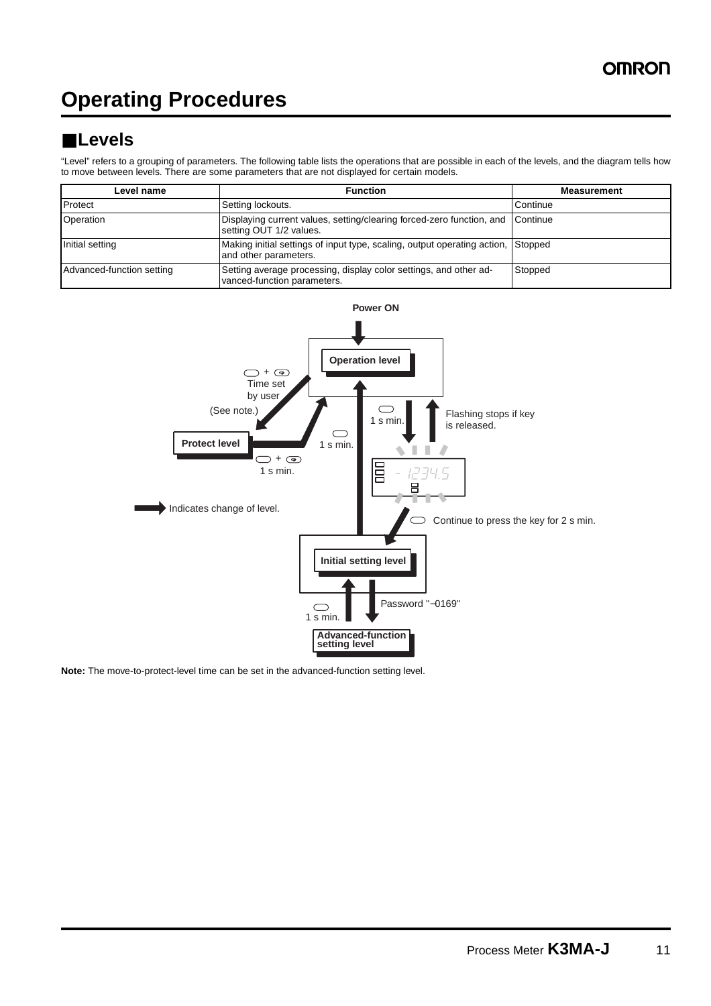## **Operating Procedures**

## ■ **Levels**

"Level" refers to a grouping of parameters. The following table lists the operations that are possible in each of the levels, and the diagram tells how to move between levels. There are some parameters that are not displayed for certain models.

| Level name                | Function                                                                                                  | <b>Measurement</b> |
|---------------------------|-----------------------------------------------------------------------------------------------------------|--------------------|
| Protect                   | Setting lockouts.                                                                                         | Continue           |
| Operation                 | Displaying current values, setting/clearing forced-zero function, and Continue<br>setting OUT 1/2 values. |                    |
| Initial setting           | Making initial settings of input type, scaling, output operating action, Stopped<br>and other parameters. |                    |
| Advanced-function setting | Setting average processing, display color settings, and other ad-<br>vanced-function parameters.          | Stopped            |



**Note:** The move-to-protect-level time can be set in the advanced-function setting level.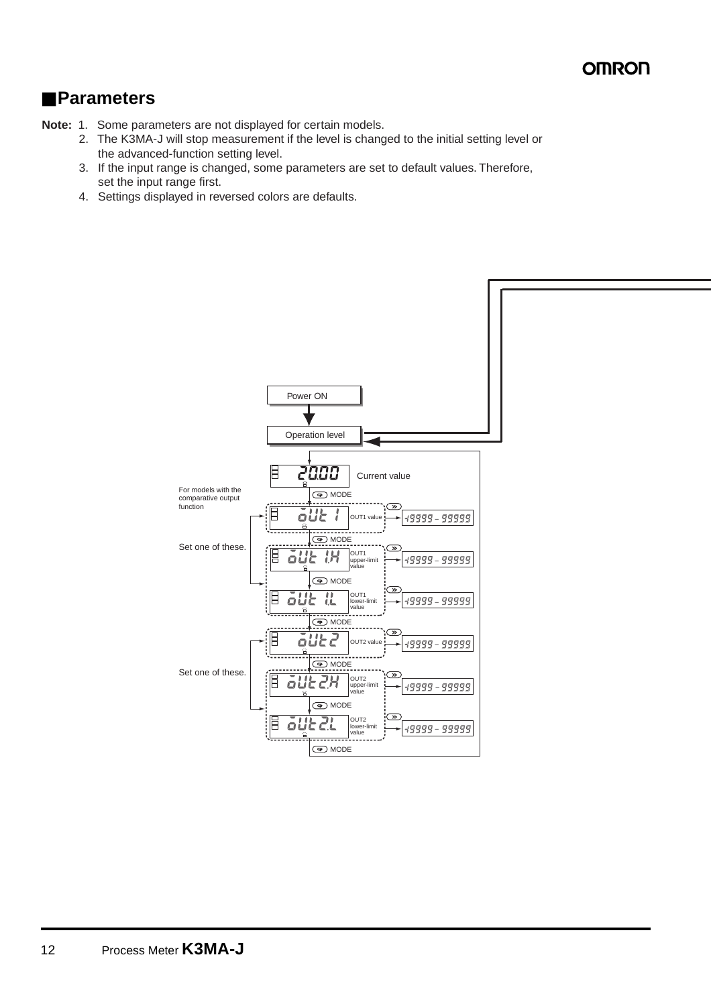## ■ **Parameters**

- **Note:** 1. Some parameters are not displayed for certain models.
	- 2. The K3MA-J will stop measurement if the level is changed to the initial setting level or the advanced-function setting level.
	- 3. If the input range is changed, some parameters are set to default values. Therefore, set the input range first.
	- 4. Settings displayed in reversed colors are defaults.

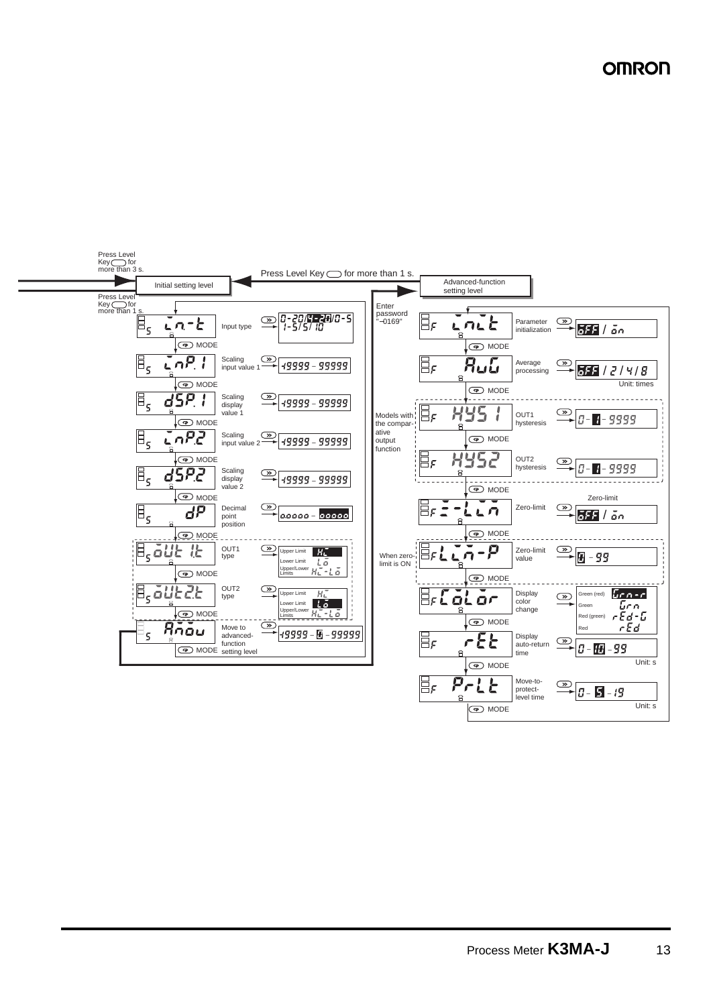**OMRON** 

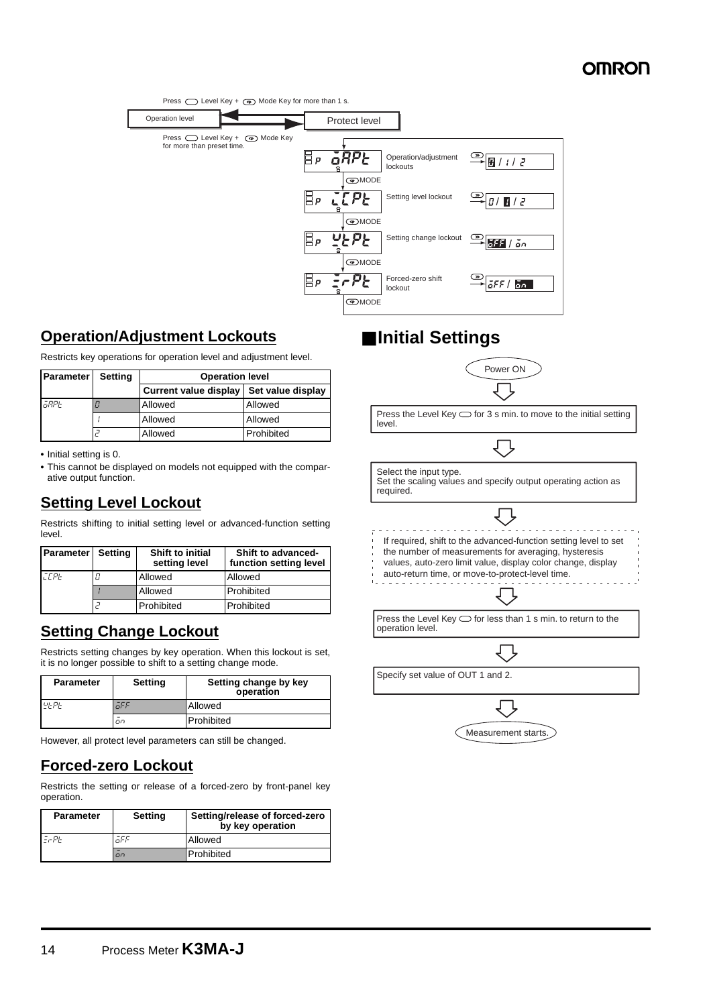

### **Operation/Adjustment Lockouts**

Restricts key operations for operation level and adjustment level.

| <b>Parameter</b> | <b>Setting</b> | <b>Operation level</b>       |                   |  |
|------------------|----------------|------------------------------|-------------------|--|
|                  |                | <b>Current value display</b> | Set value display |  |
| GRPE             |                | Allowed                      | Allowed           |  |
|                  |                | Allowed                      | Allowed           |  |
|                  |                | Allowed                      | Prohibited        |  |

**•** Initial setting is 0.

**•** This cannot be displayed on models not equipped with the comparative output function.

### **Setting Level Lockout**

Restricts shifting to initial setting level or advanced-function setting level.

| <b>Parameter</b> Setting | <b>Shift to initial</b><br>setting level | Shift to advanced-<br>function setting level |
|--------------------------|------------------------------------------|----------------------------------------------|
| <b>FFPF</b>              | Allowed                                  | Allowed                                      |
|                          | Allowed                                  | Prohibited                                   |
|                          | Prohibited                               | Prohibited                                   |

### **Setting Change Lockout**

Restricts setting changes by key operation. When this lockout is set, it is no longer possible to shift to a setting change mode.

| <b>Parameter</b> | Setting | Setting change by key<br>operation |  |
|------------------|---------|------------------------------------|--|
| u  p             | āFF     | Allowed                            |  |
|                  | on      | Prohibited                         |  |

However, all protect level parameters can still be changed.

## **Forced-zero Lockout**

Restricts the setting or release of a forced-zero by front-panel key operation.

| <b>Parameter</b> | Setting     | Setting/release of forced-zero<br>by key operation |
|------------------|-------------|----------------------------------------------------|
| $  P$ $+$        | āFF         | Allowed                                            |
|                  | $\Box \Box$ | Prohibited                                         |

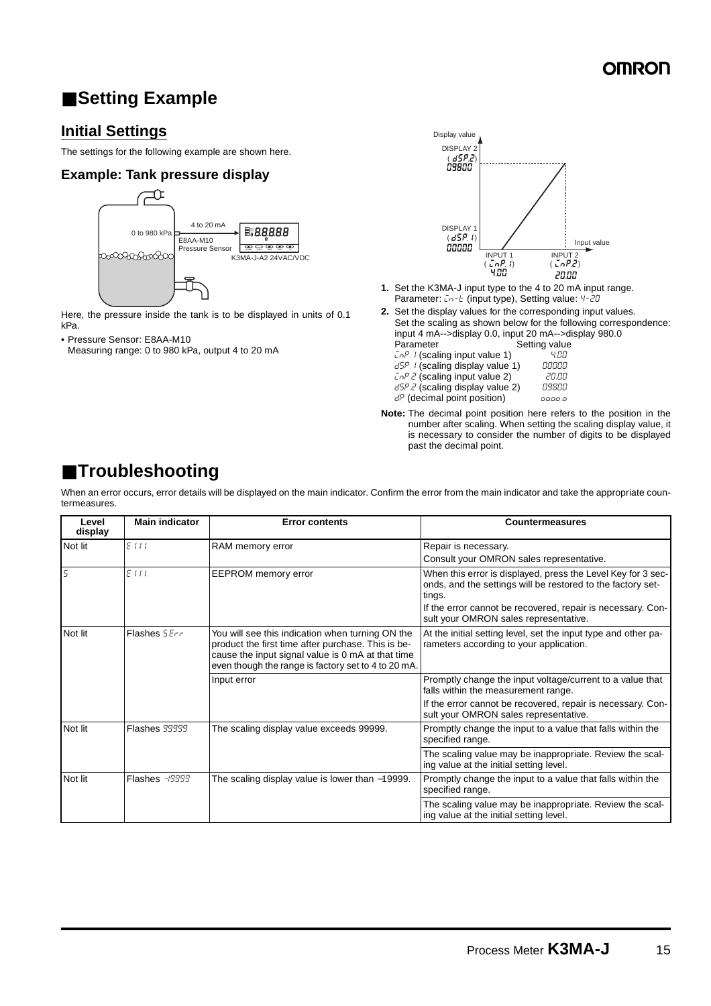## ■ **Setting Example**

### **Initial Settings**

The settings for the following example are shown here.

### **Example: Tank pressure display**



Here, the pressure inside the tank is to be displayed in units of 0.1 kPa.

**•** Pressure Sensor: E8AA-M10

Measuring range: 0 to 980 kPa, output 4 to 20 mA



- **1.** Set the K3MA-J input type to the 4 to 20 mA input range. Parameter:  $Ln-E$  (input type), Setting value: 4-20
- **2.** Set the display values for the corresponding input values. Set the scaling as shown below for the following correspondence: input 4 mA-->display 0.0, input 20 mA-->display 980.0 Setting value

| $\bar{L}nP$ . I (scaling input value 1) | 4.00  |
|-----------------------------------------|-------|
| d5P. I (scaling display value 1)        | 00000 |
| $\bar{L}$ o P.2 (scaling input value 2) | 20.00 |
| d5P.2 (scaling display value 2)         | 09800 |

 $d^p$  (decimal point position)  $\qquad \qquad$   $\qquad$   $\qquad$   $\qquad$   $\qquad$   $\qquad$   $\qquad$   $\qquad$   $\qquad$   $\qquad$   $\qquad$   $\qquad$   $\qquad$   $\qquad$   $\qquad$   $\qquad$   $\qquad$   $\qquad$   $\qquad$   $\qquad$   $\qquad$   $\qquad$   $\qquad$   $\qquad$   $\qquad$   $\qquad$   $\qquad$   $\qquad$   $\qquad$   $\qquad$   $\qquad$ 

**Note:** The decimal point position here refers to the position in the number after scaling. When setting the scaling display value, it is necessary to consider the number of digits to be displayed past the decimal point.

## ■ **Troubleshooting**

When an error occurs, error details will be displayed on the main indicator. Confirm the error from the main indicator and take the appropriate countermeasures.

| Level<br>display | <b>Main indicator</b> | <b>Error contents</b>                                                                                                                                                                                              | <b>Countermeasures</b>                                                                                                                |
|------------------|-----------------------|--------------------------------------------------------------------------------------------------------------------------------------------------------------------------------------------------------------------|---------------------------------------------------------------------------------------------------------------------------------------|
| Not lit          | EIII                  | RAM memory error                                                                                                                                                                                                   | Repair is necessary.                                                                                                                  |
|                  |                       |                                                                                                                                                                                                                    | Consult your OMRON sales representative.                                                                                              |
| $\overline{5}$   | EIII                  | <b>EEPROM</b> memory error                                                                                                                                                                                         | When this error is displayed, press the Level Key for 3 sec-<br>onds, and the settings will be restored to the factory set-<br>tings. |
|                  |                       |                                                                                                                                                                                                                    | If the error cannot be recovered, repair is necessary. Con-<br>sult your OMRON sales representative.                                  |
| Not lit          | Flashes 5.Err         | You will see this indication when turning ON the<br>product the first time after purchase. This is be-<br>cause the input signal value is 0 mA at that time<br>even though the range is factory set to 4 to 20 mA. | At the initial setting level, set the input type and other pa-<br>rameters according to your application.                             |
|                  |                       | Input error                                                                                                                                                                                                        | Promptly change the input voltage/current to a value that<br>falls within the measurement range.                                      |
|                  |                       |                                                                                                                                                                                                                    | If the error cannot be recovered, repair is necessary. Con-<br>sult your OMRON sales representative.                                  |
| Not lit          | <b>Flashes 99999</b>  | The scaling display value exceeds 99999.                                                                                                                                                                           | Promptly change the input to a value that falls within the<br>specified range.                                                        |
|                  |                       |                                                                                                                                                                                                                    | The scaling value may be inappropriate. Review the scal-<br>ing value at the initial setting level.                                   |
| Not lit          | Flashes $-19999$      | The scaling display value is lower than -19999.                                                                                                                                                                    | Promptly change the input to a value that falls within the<br>specified range.                                                        |
|                  |                       |                                                                                                                                                                                                                    | The scaling value may be inappropriate. Review the scal-<br>ing value at the initial setting level.                                   |